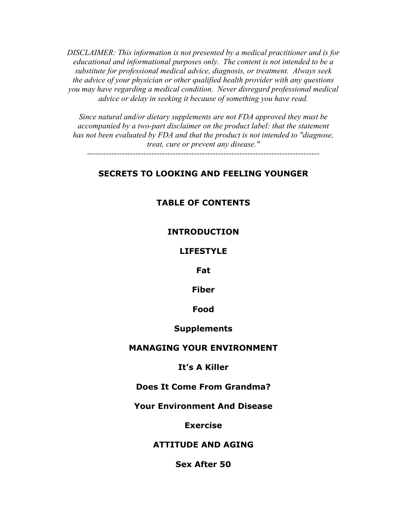*DISCLAIMER: This information is not presented by a medical practitioner and is for educational and informational purposes only. The content is not intended to be a substitute for professional medical advice, diagnosis, or treatment. Always seek the advice of your physician or other qualified health provider with any questions you may have regarding a medical condition. Never disregard professional medical advice or delay in seeking it because of something you have read.* 

*Since natural and/or dietary supplements are not FDA approved they must be accompanied by a two-part disclaimer on the product label: that the statement has not been evaluated by FDA and that the product is not intended to "diagnose, treat, cure or prevent any disease."* 

*---------------------------------------------------------------------------------------* 

## **SECRETS TO LOOKING AND FEELING YOUNGER**

## **TABLE OF CONTENTS**

#### **INTRODUCTION**

#### **LIFESTYLE**

**Fat** 

**Fiber** 

**Food** 

## **Supplements**

## **MANAGING YOUR ENVIRONMENT**

#### **It's A Killer**

## **Does It Come From Grandma?**

## **Your Environment And Disease**

#### **Exercise**

#### **ATTITUDE AND AGING**

**Sex After 50**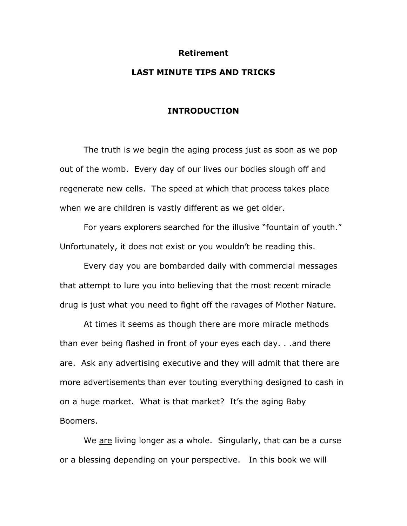#### **Retirement**

## **LAST MINUTE TIPS AND TRICKS**

#### **INTRODUCTION**

The truth is we begin the aging process just as soon as we pop out of the womb. Every day of our lives our bodies slough off and regenerate new cells. The speed at which that process takes place when we are children is vastly different as we get older.

For years explorers searched for the illusive "fountain of youth." Unfortunately, it does not exist or you wouldn't be reading this.

Every day you are bombarded daily with commercial messages that attempt to lure you into believing that the most recent miracle drug is just what you need to fight off the ravages of Mother Nature.

At times it seems as though there are more miracle methods than ever being flashed in front of your eyes each day. . .and there are. Ask any advertising executive and they will admit that there are more advertisements than ever touting everything designed to cash in on a huge market. What is that market? It's the aging Baby Boomers.

We are living longer as a whole. Singularly, that can be a curse or a blessing depending on your perspective. In this book we will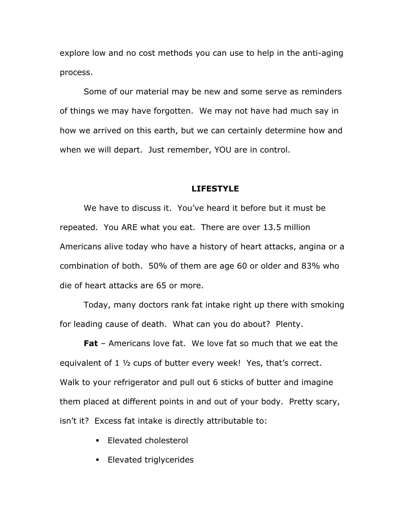explore low and no cost methods you can use to help in the anti-aging process.

Some of our material may be new and some serve as reminders of things we may have forgotten. We may not have had much say in how we arrived on this earth, but we can certainly determine how and when we will depart. Just remember, YOU are in control.

#### **LIFESTYLE**

We have to discuss it. You've heard it before but it must be repeated. You ARE what you eat. There are over 13.5 million Americans alive today who have a history of heart attacks, angina or a combination of both. 50% of them are age 60 or older and 83% who die of heart attacks are 65 or more.

Today, many doctors rank fat intake right up there with smoking for leading cause of death. What can you do about? Plenty.

**Fat** – Americans love fat. We love fat so much that we eat the equivalent of 1 ½ cups of butter every week! Yes, that's correct. Walk to your refrigerator and pull out 6 sticks of butter and imagine them placed at different points in and out of your body. Pretty scary, isn't it? Excess fat intake is directly attributable to:

- **Elevated cholesterol**
- **Elevated triglycerides**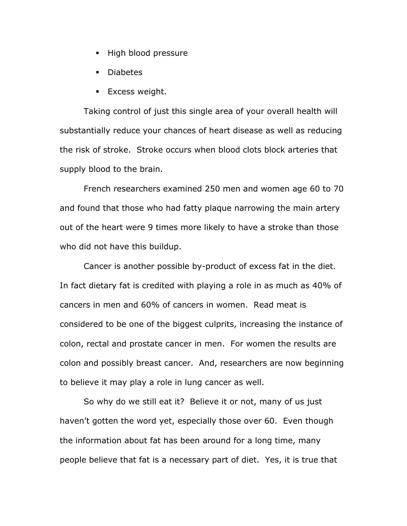- **High blood pressure**
- Diabetes
- **Excess weight.**

Taking control of just this single area of your overall health will substantially reduce your chances of heart disease as well as reducing the risk of stroke. Stroke occurs when blood clots block arteries that supply blood to the brain.

French researchers examined 250 men and women age 60 to 70 and found that those who had fatty plaque narrowing the main artery out of the heart were 9 times more likely to have a stroke than those who did not have this buildup.

Cancer is another possible by-product of excess fat in the diet. In fact dietary fat is credited with playing a role in as much as 40% of cancers in men and 60% of cancers in women. Read meat is considered to be one of the biggest culprits, increasing the instance of colon, rectal and prostate cancer in men. For women the results are colon and possibly breast cancer. And, researchers are now beginning to believe it may play a role in lung cancer as well.

So why do we still eat it? Believe it or not, many of us just haven't gotten the word yet, especially those over 60. Even though the information about fat has been around for a long time, many people believe that fat is a necessary part of diet. Yes, it is true that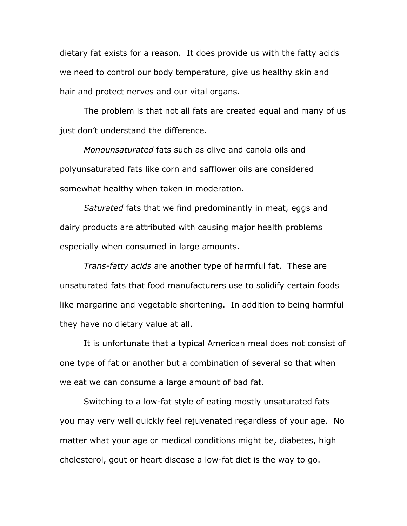dietary fat exists for a reason. It does provide us with the fatty acids we need to control our body temperature, give us healthy skin and hair and protect nerves and our vital organs.

The problem is that not all fats are created equal and many of us just don't understand the difference.

*Monounsaturated* fats such as olive and canola oils and polyunsaturated fats like corn and safflower oils are considered somewhat healthy when taken in moderation.

*Saturated* fats that we find predominantly in meat, eggs and dairy products are attributed with causing major health problems especially when consumed in large amounts.

*Trans-fatty acids* are another type of harmful fat. These are unsaturated fats that food manufacturers use to solidify certain foods like margarine and vegetable shortening. In addition to being harmful they have no dietary value at all.

It is unfortunate that a typical American meal does not consist of one type of fat or another but a combination of several so that when we eat we can consume a large amount of bad fat.

Switching to a low-fat style of eating mostly unsaturated fats you may very well quickly feel rejuvenated regardless of your age. No matter what your age or medical conditions might be, diabetes, high cholesterol, gout or heart disease a low-fat diet is the way to go.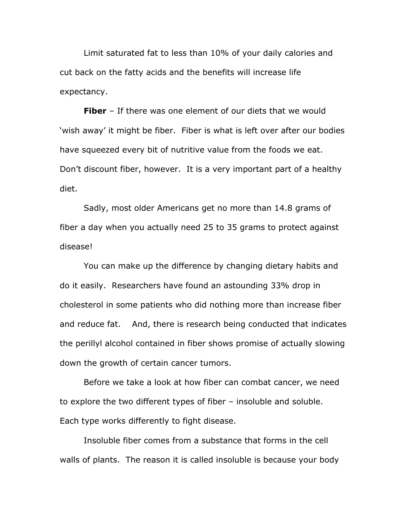Limit saturated fat to less than 10% of your daily calories and cut back on the fatty acids and the benefits will increase life expectancy.

**Fiber** – If there was one element of our diets that we would 'wish away' it might be fiber. Fiber is what is left over after our bodies have squeezed every bit of nutritive value from the foods we eat. Don't discount fiber, however. It is a very important part of a healthy diet.

Sadly, most older Americans get no more than 14.8 grams of fiber a day when you actually need 25 to 35 grams to protect against disease!

You can make up the difference by changing dietary habits and do it easily. Researchers have found an astounding 33% drop in cholesterol in some patients who did nothing more than increase fiber and reduce fat. And, there is research being conducted that indicates the perillyl alcohol contained in fiber shows promise of actually slowing down the growth of certain cancer tumors.

Before we take a look at how fiber can combat cancer, we need to explore the two different types of fiber – insoluble and soluble. Each type works differently to fight disease.

Insoluble fiber comes from a substance that forms in the cell walls of plants. The reason it is called insoluble is because your body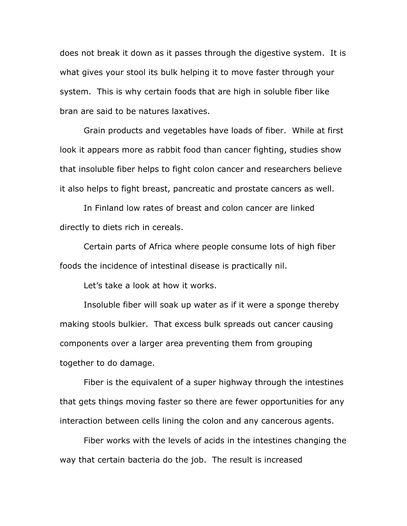does not break it down as it passes through the digestive system. It is what gives your stool its bulk helping it to move faster through your system. This is why certain foods that are high in soluble fiber like bran are said to be natures laxatives.

Grain products and vegetables have loads of fiber. While at first look it appears more as rabbit food than cancer fighting, studies show that insoluble fiber helps to fight colon cancer and researchers believe it also helps to fight breast, pancreatic and prostate cancers as well.

In Finland low rates of breast and colon cancer are linked directly to diets rich in cereals.

Certain parts of Africa where people consume lots of high fiber foods the incidence of intestinal disease is practically nil.

Let's take a look at how it works.

Insoluble fiber will soak up water as if it were a sponge thereby making stools bulkier. That excess bulk spreads out cancer causing components over a larger area preventing them from grouping together to do damage.

Fiber is the equivalent of a super highway through the intestines that gets things moving faster so there are fewer opportunities for any interaction between cells lining the colon and any cancerous agents.

Fiber works with the levels of acids in the intestines changing the way that certain bacteria do the job. The result is increased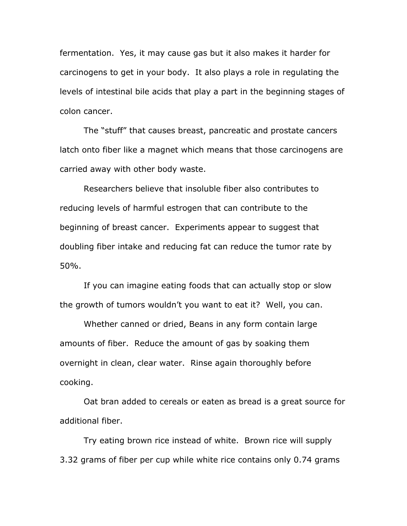fermentation. Yes, it may cause gas but it also makes it harder for carcinogens to get in your body. It also plays a role in regulating the levels of intestinal bile acids that play a part in the beginning stages of colon cancer.

The "stuff" that causes breast, pancreatic and prostate cancers latch onto fiber like a magnet which means that those carcinogens are carried away with other body waste.

Researchers believe that insoluble fiber also contributes to reducing levels of harmful estrogen that can contribute to the beginning of breast cancer. Experiments appear to suggest that doubling fiber intake and reducing fat can reduce the tumor rate by 50%.

If you can imagine eating foods that can actually stop or slow the growth of tumors wouldn't you want to eat it? Well, you can.

Whether canned or dried, Beans in any form contain large amounts of fiber. Reduce the amount of gas by soaking them overnight in clean, clear water. Rinse again thoroughly before cooking.

Oat bran added to cereals or eaten as bread is a great source for additional fiber.

Try eating brown rice instead of white. Brown rice will supply 3.32 grams of fiber per cup while white rice contains only 0.74 grams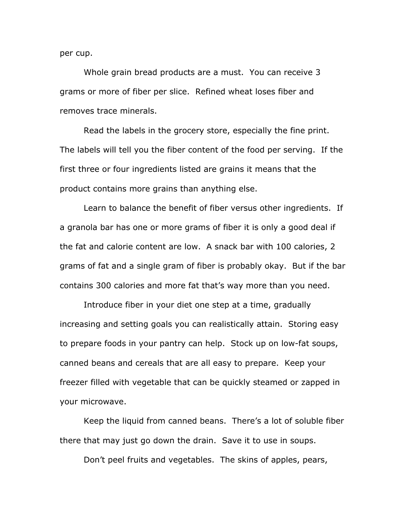per cup.

Whole grain bread products are a must. You can receive 3 grams or more of fiber per slice. Refined wheat loses fiber and removes trace minerals.

Read the labels in the grocery store, especially the fine print. The labels will tell you the fiber content of the food per serving. If the first three or four ingredients listed are grains it means that the product contains more grains than anything else.

Learn to balance the benefit of fiber versus other ingredients. If a granola bar has one or more grams of fiber it is only a good deal if the fat and calorie content are low. A snack bar with 100 calories, 2 grams of fat and a single gram of fiber is probably okay. But if the bar contains 300 calories and more fat that's way more than you need.

Introduce fiber in your diet one step at a time, gradually increasing and setting goals you can realistically attain. Storing easy to prepare foods in your pantry can help. Stock up on low-fat soups, canned beans and cereals that are all easy to prepare. Keep your freezer filled with vegetable that can be quickly steamed or zapped in your microwave.

Keep the liquid from canned beans. There's a lot of soluble fiber there that may just go down the drain. Save it to use in soups.

Don't peel fruits and vegetables. The skins of apples, pears,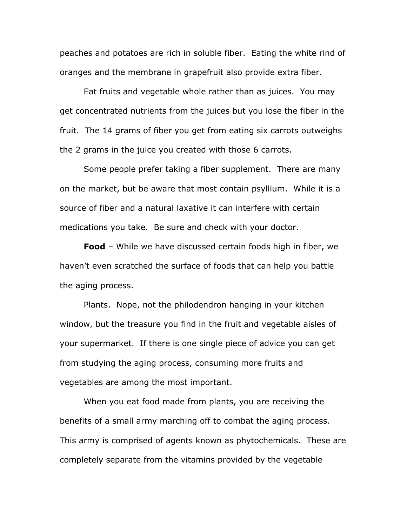peaches and potatoes are rich in soluble fiber. Eating the white rind of oranges and the membrane in grapefruit also provide extra fiber.

Eat fruits and vegetable whole rather than as juices. You may get concentrated nutrients from the juices but you lose the fiber in the fruit. The 14 grams of fiber you get from eating six carrots outweighs the 2 grams in the juice you created with those 6 carrots.

Some people prefer taking a fiber supplement. There are many on the market, but be aware that most contain psyllium. While it is a source of fiber and a natural laxative it can interfere with certain medications you take. Be sure and check with your doctor.

**Food** – While we have discussed certain foods high in fiber, we haven't even scratched the surface of foods that can help you battle the aging process.

Plants. Nope, not the philodendron hanging in your kitchen window, but the treasure you find in the fruit and vegetable aisles of your supermarket. If there is one single piece of advice you can get from studying the aging process, consuming more fruits and vegetables are among the most important.

When you eat food made from plants, you are receiving the benefits of a small army marching off to combat the aging process. This army is comprised of agents known as phytochemicals. These are completely separate from the vitamins provided by the vegetable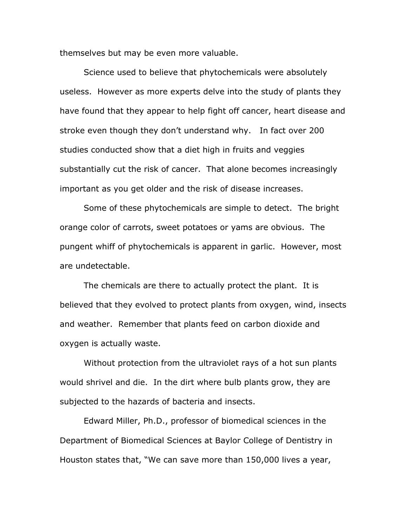themselves but may be even more valuable.

Science used to believe that phytochemicals were absolutely useless. However as more experts delve into the study of plants they have found that they appear to help fight off cancer, heart disease and stroke even though they don't understand why. In fact over 200 studies conducted show that a diet high in fruits and veggies substantially cut the risk of cancer. That alone becomes increasingly important as you get older and the risk of disease increases.

Some of these phytochemicals are simple to detect. The bright orange color of carrots, sweet potatoes or yams are obvious. The pungent whiff of phytochemicals is apparent in garlic. However, most are undetectable.

The chemicals are there to actually protect the plant. It is believed that they evolved to protect plants from oxygen, wind, insects and weather. Remember that plants feed on carbon dioxide and oxygen is actually waste.

Without protection from the ultraviolet rays of a hot sun plants would shrivel and die. In the dirt where bulb plants grow, they are subjected to the hazards of bacteria and insects.

Edward Miller, Ph.D., professor of biomedical sciences in the Department of Biomedical Sciences at Baylor College of Dentistry in Houston states that, "We can save more than 150,000 lives a year,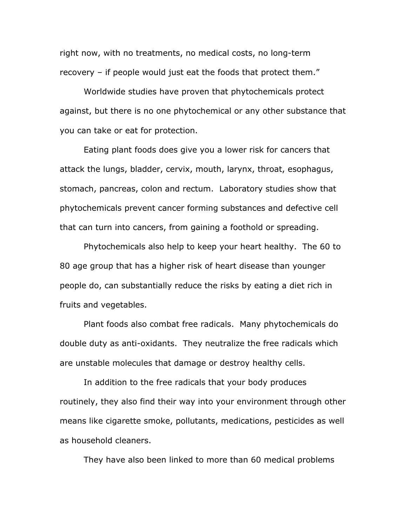right now, with no treatments, no medical costs, no long-term recovery – if people would just eat the foods that protect them."

Worldwide studies have proven that phytochemicals protect against, but there is no one phytochemical or any other substance that you can take or eat for protection.

Eating plant foods does give you a lower risk for cancers that attack the lungs, bladder, cervix, mouth, larynx, throat, esophagus, stomach, pancreas, colon and rectum. Laboratory studies show that phytochemicals prevent cancer forming substances and defective cell that can turn into cancers, from gaining a foothold or spreading.

Phytochemicals also help to keep your heart healthy. The 60 to 80 age group that has a higher risk of heart disease than younger people do, can substantially reduce the risks by eating a diet rich in fruits and vegetables.

Plant foods also combat free radicals. Many phytochemicals do double duty as anti-oxidants. They neutralize the free radicals which are unstable molecules that damage or destroy healthy cells.

In addition to the free radicals that your body produces routinely, they also find their way into your environment through other means like cigarette smoke, pollutants, medications, pesticides as well as household cleaners.

They have also been linked to more than 60 medical problems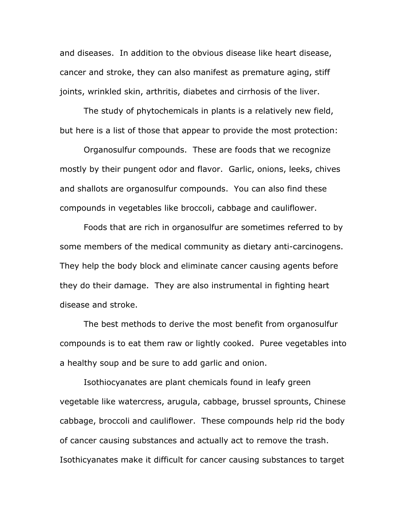and diseases. In addition to the obvious disease like heart disease, cancer and stroke, they can also manifest as premature aging, stiff joints, wrinkled skin, arthritis, diabetes and cirrhosis of the liver.

The study of phytochemicals in plants is a relatively new field, but here is a list of those that appear to provide the most protection:

Organosulfur compounds. These are foods that we recognize mostly by their pungent odor and flavor. Garlic, onions, leeks, chives and shallots are organosulfur compounds. You can also find these compounds in vegetables like broccoli, cabbage and cauliflower.

Foods that are rich in organosulfur are sometimes referred to by some members of the medical community as dietary anti-carcinogens. They help the body block and eliminate cancer causing agents before they do their damage. They are also instrumental in fighting heart disease and stroke.

The best methods to derive the most benefit from organosulfur compounds is to eat them raw or lightly cooked. Puree vegetables into a healthy soup and be sure to add garlic and onion.

Isothiocyanates are plant chemicals found in leafy green vegetable like watercress, arugula, cabbage, brussel sprounts, Chinese cabbage, broccoli and cauliflower. These compounds help rid the body of cancer causing substances and actually act to remove the trash. Isothicyanates make it difficult for cancer causing substances to target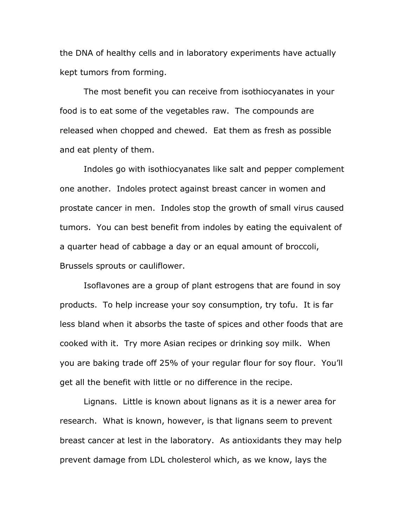the DNA of healthy cells and in laboratory experiments have actually kept tumors from forming.

The most benefit you can receive from isothiocyanates in your food is to eat some of the vegetables raw. The compounds are released when chopped and chewed. Eat them as fresh as possible and eat plenty of them.

Indoles go with isothiocyanates like salt and pepper complement one another. Indoles protect against breast cancer in women and prostate cancer in men. Indoles stop the growth of small virus caused tumors. You can best benefit from indoles by eating the equivalent of a quarter head of cabbage a day or an equal amount of broccoli, Brussels sprouts or cauliflower.

Isoflavones are a group of plant estrogens that are found in soy products. To help increase your soy consumption, try tofu. It is far less bland when it absorbs the taste of spices and other foods that are cooked with it. Try more Asian recipes or drinking soy milk. When you are baking trade off 25% of your regular flour for soy flour. You'll get all the benefit with little or no difference in the recipe.

Lignans. Little is known about lignans as it is a newer area for research. What is known, however, is that lignans seem to prevent breast cancer at lest in the laboratory. As antioxidants they may help prevent damage from LDL cholesterol which, as we know, lays the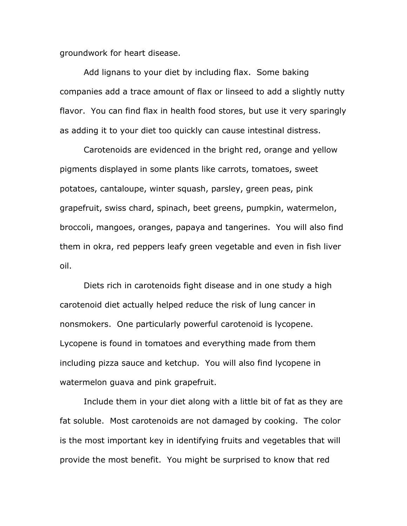groundwork for heart disease.

Add lignans to your diet by including flax. Some baking companies add a trace amount of flax or linseed to add a slightly nutty flavor. You can find flax in health food stores, but use it very sparingly as adding it to your diet too quickly can cause intestinal distress.

Carotenoids are evidenced in the bright red, orange and yellow pigments displayed in some plants like carrots, tomatoes, sweet potatoes, cantaloupe, winter squash, parsley, green peas, pink grapefruit, swiss chard, spinach, beet greens, pumpkin, watermelon, broccoli, mangoes, oranges, papaya and tangerines. You will also find them in okra, red peppers leafy green vegetable and even in fish liver oil.

Diets rich in carotenoids fight disease and in one study a high carotenoid diet actually helped reduce the risk of lung cancer in nonsmokers. One particularly powerful carotenoid is lycopene. Lycopene is found in tomatoes and everything made from them including pizza sauce and ketchup. You will also find lycopene in watermelon guava and pink grapefruit.

Include them in your diet along with a little bit of fat as they are fat soluble. Most carotenoids are not damaged by cooking. The color is the most important key in identifying fruits and vegetables that will provide the most benefit. You might be surprised to know that red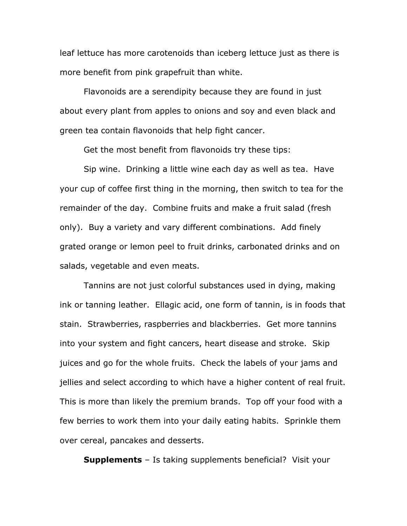leaf lettuce has more carotenoids than iceberg lettuce just as there is more benefit from pink grapefruit than white.

Flavonoids are a serendipity because they are found in just about every plant from apples to onions and soy and even black and green tea contain flavonoids that help fight cancer.

Get the most benefit from flavonoids try these tips:

Sip wine. Drinking a little wine each day as well as tea. Have your cup of coffee first thing in the morning, then switch to tea for the remainder of the day. Combine fruits and make a fruit salad (fresh only). Buy a variety and vary different combinations. Add finely grated orange or lemon peel to fruit drinks, carbonated drinks and on salads, vegetable and even meats.

Tannins are not just colorful substances used in dying, making ink or tanning leather. Ellagic acid, one form of tannin, is in foods that stain. Strawberries, raspberries and blackberries. Get more tannins into your system and fight cancers, heart disease and stroke. Skip juices and go for the whole fruits. Check the labels of your jams and jellies and select according to which have a higher content of real fruit. This is more than likely the premium brands. Top off your food with a few berries to work them into your daily eating habits. Sprinkle them over cereal, pancakes and desserts.

**Supplements** – Is taking supplements beneficial? Visit your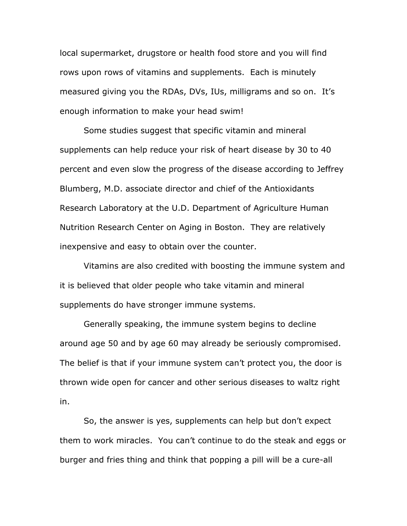local supermarket, drugstore or health food store and you will find rows upon rows of vitamins and supplements. Each is minutely measured giving you the RDAs, DVs, IUs, milligrams and so on. It's enough information to make your head swim!

Some studies suggest that specific vitamin and mineral supplements can help reduce your risk of heart disease by 30 to 40 percent and even slow the progress of the disease according to Jeffrey Blumberg, M.D. associate director and chief of the Antioxidants Research Laboratory at the U.D. Department of Agriculture Human Nutrition Research Center on Aging in Boston. They are relatively inexpensive and easy to obtain over the counter.

Vitamins are also credited with boosting the immune system and it is believed that older people who take vitamin and mineral supplements do have stronger immune systems.

Generally speaking, the immune system begins to decline around age 50 and by age 60 may already be seriously compromised. The belief is that if your immune system can't protect you, the door is thrown wide open for cancer and other serious diseases to waltz right in.

So, the answer is yes, supplements can help but don't expect them to work miracles. You can't continue to do the steak and eggs or burger and fries thing and think that popping a pill will be a cure-all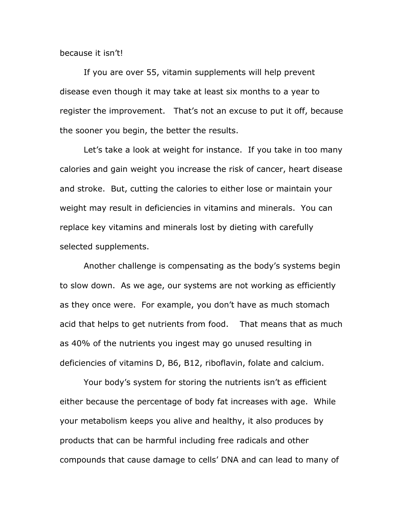because it isn't!

If you are over 55, vitamin supplements will help prevent disease even though it may take at least six months to a year to register the improvement. That's not an excuse to put it off, because the sooner you begin, the better the results.

Let's take a look at weight for instance. If you take in too many calories and gain weight you increase the risk of cancer, heart disease and stroke. But, cutting the calories to either lose or maintain your weight may result in deficiencies in vitamins and minerals. You can replace key vitamins and minerals lost by dieting with carefully selected supplements.

Another challenge is compensating as the body's systems begin to slow down. As we age, our systems are not working as efficiently as they once were. For example, you don't have as much stomach acid that helps to get nutrients from food. That means that as much as 40% of the nutrients you ingest may go unused resulting in deficiencies of vitamins D, B6, B12, riboflavin, folate and calcium.

Your body's system for storing the nutrients isn't as efficient either because the percentage of body fat increases with age. While your metabolism keeps you alive and healthy, it also produces by products that can be harmful including free radicals and other compounds that cause damage to cells' DNA and can lead to many of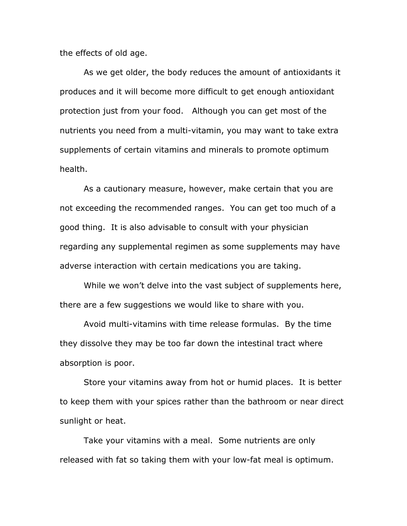the effects of old age.

As we get older, the body reduces the amount of antioxidants it produces and it will become more difficult to get enough antioxidant protection just from your food. Although you can get most of the nutrients you need from a multi-vitamin, you may want to take extra supplements of certain vitamins and minerals to promote optimum health.

As a cautionary measure, however, make certain that you are not exceeding the recommended ranges. You can get too much of a good thing. It is also advisable to consult with your physician regarding any supplemental regimen as some supplements may have adverse interaction with certain medications you are taking.

While we won't delve into the vast subject of supplements here, there are a few suggestions we would like to share with you.

Avoid multi-vitamins with time release formulas. By the time they dissolve they may be too far down the intestinal tract where absorption is poor.

Store your vitamins away from hot or humid places. It is better to keep them with your spices rather than the bathroom or near direct sunlight or heat.

Take your vitamins with a meal. Some nutrients are only released with fat so taking them with your low-fat meal is optimum.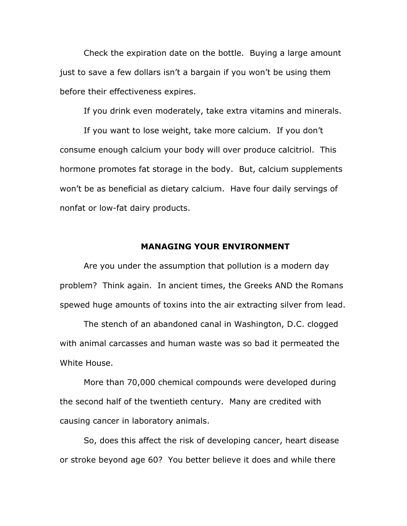Check the expiration date on the bottle. Buying a large amount just to save a few dollars isn't a bargain if you won't be using them before their effectiveness expires.

If you drink even moderately, take extra vitamins and minerals.

If you want to lose weight, take more calcium. If you don't consume enough calcium your body will over produce calcitriol. This hormone promotes fat storage in the body. But, calcium supplements won't be as beneficial as dietary calcium. Have four daily servings of nonfat or low-fat dairy products.

## **MANAGING YOUR ENVIRONMENT**

Are you under the assumption that pollution is a modern day problem? Think again. In ancient times, the Greeks AND the Romans spewed huge amounts of toxins into the air extracting silver from lead.

The stench of an abandoned canal in Washington, D.C. clogged with animal carcasses and human waste was so bad it permeated the White House.

More than 70,000 chemical compounds were developed during the second half of the twentieth century. Many are credited with causing cancer in laboratory animals.

So, does this affect the risk of developing cancer, heart disease or stroke beyond age 60? You better believe it does and while there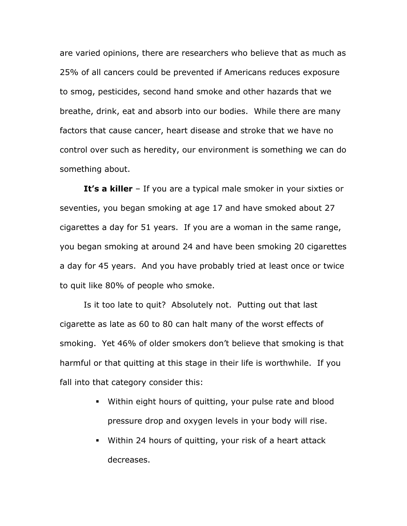are varied opinions, there are researchers who believe that as much as 25% of all cancers could be prevented if Americans reduces exposure to smog, pesticides, second hand smoke and other hazards that we breathe, drink, eat and absorb into our bodies. While there are many factors that cause cancer, heart disease and stroke that we have no control over such as heredity, our environment is something we can do something about.

**It's a killer** – If you are a typical male smoker in your sixties or seventies, you began smoking at age 17 and have smoked about 27 cigarettes a day for 51 years. If you are a woman in the same range, you began smoking at around 24 and have been smoking 20 cigarettes a day for 45 years. And you have probably tried at least once or twice to quit like 80% of people who smoke.

Is it too late to quit? Absolutely not. Putting out that last cigarette as late as 60 to 80 can halt many of the worst effects of smoking. Yet 46% of older smokers don't believe that smoking is that harmful or that quitting at this stage in their life is worthwhile. If you fall into that category consider this:

- Within eight hours of quitting, your pulse rate and blood pressure drop and oxygen levels in your body will rise.
- Within 24 hours of quitting, your risk of a heart attack decreases.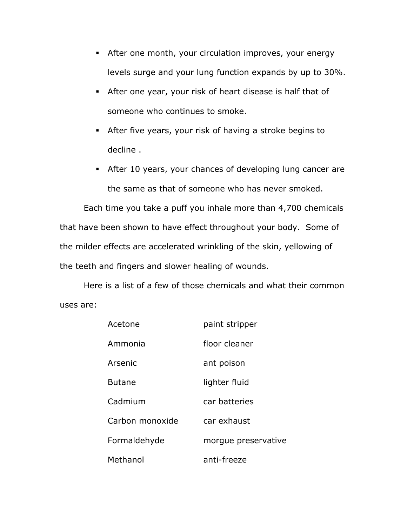- After one month, your circulation improves, your energy levels surge and your lung function expands by up to 30%.
- After one year, your risk of heart disease is half that of someone who continues to smoke.
- After five years, your risk of having a stroke begins to decline .
- After 10 years, your chances of developing lung cancer are the same as that of someone who has never smoked.

Each time you take a puff you inhale more than 4,700 chemicals that have been shown to have effect throughout your body. Some of the milder effects are accelerated wrinkling of the skin, yellowing of the teeth and fingers and slower healing of wounds.

Here is a list of a few of those chemicals and what their common uses are:

| Acetone         | paint stripper      |
|-----------------|---------------------|
| Ammonia         | floor cleaner       |
| Arsenic         | ant poison          |
| <b>Butane</b>   | lighter fluid       |
| Cadmium         | car batteries       |
| Carbon monoxide | car exhaust         |
| Formaldehyde    | morque preservative |
| Methanol        | anti-freeze         |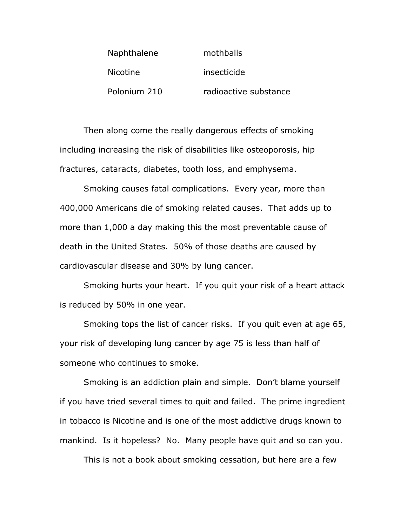| Naphthalene     | mothballs             |
|-----------------|-----------------------|
| <b>Nicotine</b> | insecticide           |
| Polonium 210    | radioactive substance |

Then along come the really dangerous effects of smoking including increasing the risk of disabilities like osteoporosis, hip fractures, cataracts, diabetes, tooth loss, and emphysema.

Smoking causes fatal complications. Every year, more than 400,000 Americans die of smoking related causes. That adds up to more than 1,000 a day making this the most preventable cause of death in the United States. 50% of those deaths are caused by cardiovascular disease and 30% by lung cancer.

Smoking hurts your heart. If you quit your risk of a heart attack is reduced by 50% in one year.

Smoking tops the list of cancer risks. If you quit even at age 65, your risk of developing lung cancer by age 75 is less than half of someone who continues to smoke.

Smoking is an addiction plain and simple. Don't blame yourself if you have tried several times to quit and failed. The prime ingredient in tobacco is Nicotine and is one of the most addictive drugs known to mankind. Is it hopeless? No. Many people have quit and so can you.

This is not a book about smoking cessation, but here are a few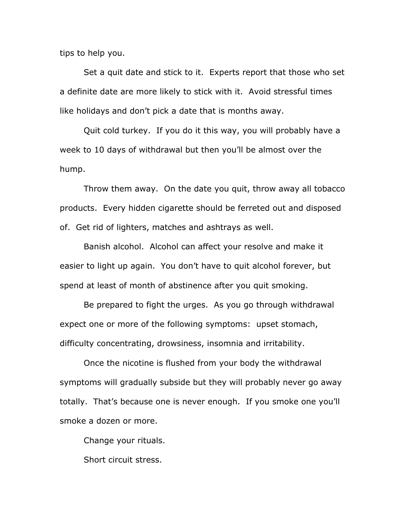tips to help you.

Set a quit date and stick to it. Experts report that those who set a definite date are more likely to stick with it. Avoid stressful times like holidays and don't pick a date that is months away.

Quit cold turkey. If you do it this way, you will probably have a week to 10 days of withdrawal but then you'll be almost over the hump.

Throw them away. On the date you quit, throw away all tobacco products. Every hidden cigarette should be ferreted out and disposed of. Get rid of lighters, matches and ashtrays as well.

Banish alcohol. Alcohol can affect your resolve and make it easier to light up again. You don't have to quit alcohol forever, but spend at least of month of abstinence after you quit smoking.

Be prepared to fight the urges. As you go through withdrawal expect one or more of the following symptoms: upset stomach, difficulty concentrating, drowsiness, insomnia and irritability.

Once the nicotine is flushed from your body the withdrawal symptoms will gradually subside but they will probably never go away totally. That's because one is never enough. If you smoke one you'll smoke a dozen or more.

Change your rituals.

Short circuit stress.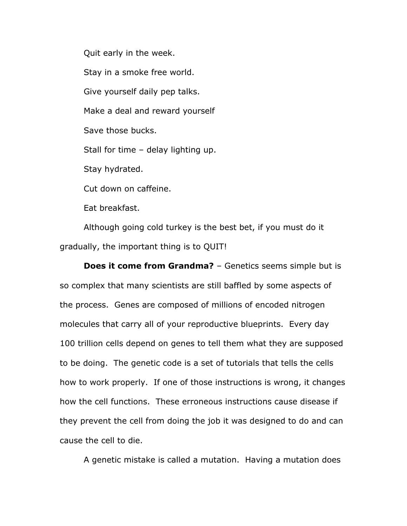Quit early in the week. Stay in a smoke free world. Give yourself daily pep talks. Make a deal and reward yourself Save those bucks. Stall for time – delay lighting up. Stay hydrated. Cut down on caffeine. Eat breakfast.

Although going cold turkey is the best bet, if you must do it gradually, the important thing is to QUIT!

**Does it come from Grandma?** – Genetics seems simple but is so complex that many scientists are still baffled by some aspects of the process. Genes are composed of millions of encoded nitrogen molecules that carry all of your reproductive blueprints. Every day 100 trillion cells depend on genes to tell them what they are supposed to be doing. The genetic code is a set of tutorials that tells the cells how to work properly. If one of those instructions is wrong, it changes how the cell functions. These erroneous instructions cause disease if they prevent the cell from doing the job it was designed to do and can cause the cell to die.

A genetic mistake is called a mutation. Having a mutation does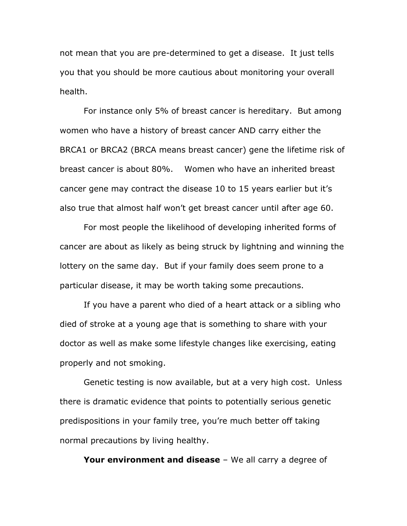not mean that you are pre-determined to get a disease. It just tells you that you should be more cautious about monitoring your overall health.

For instance only 5% of breast cancer is hereditary. But among women who have a history of breast cancer AND carry either the BRCA1 or BRCA2 (BRCA means breast cancer) gene the lifetime risk of breast cancer is about 80%. Women who have an inherited breast cancer gene may contract the disease 10 to 15 years earlier but it's also true that almost half won't get breast cancer until after age 60.

For most people the likelihood of developing inherited forms of cancer are about as likely as being struck by lightning and winning the lottery on the same day. But if your family does seem prone to a particular disease, it may be worth taking some precautions.

If you have a parent who died of a heart attack or a sibling who died of stroke at a young age that is something to share with your doctor as well as make some lifestyle changes like exercising, eating properly and not smoking.

Genetic testing is now available, but at a very high cost. Unless there is dramatic evidence that points to potentially serious genetic predispositions in your family tree, you're much better off taking normal precautions by living healthy.

**Your environment and disease** – We all carry a degree of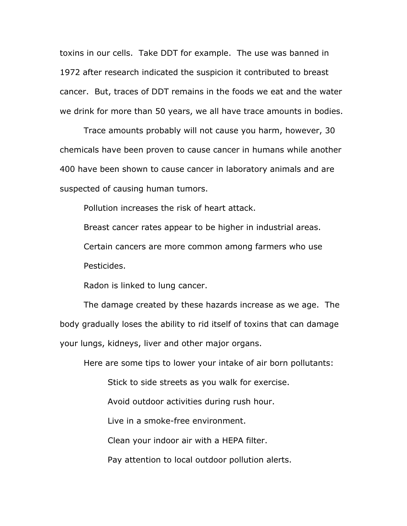toxins in our cells. Take DDT for example. The use was banned in 1972 after research indicated the suspicion it contributed to breast cancer. But, traces of DDT remains in the foods we eat and the water we drink for more than 50 years, we all have trace amounts in bodies.

Trace amounts probably will not cause you harm, however, 30 chemicals have been proven to cause cancer in humans while another 400 have been shown to cause cancer in laboratory animals and are suspected of causing human tumors.

Pollution increases the risk of heart attack.

Breast cancer rates appear to be higher in industrial areas.

Certain cancers are more common among farmers who use

Pesticides.

Radon is linked to lung cancer.

The damage created by these hazards increase as we age. The body gradually loses the ability to rid itself of toxins that can damage your lungs, kidneys, liver and other major organs.

Here are some tips to lower your intake of air born pollutants:

Stick to side streets as you walk for exercise.

Avoid outdoor activities during rush hour.

Live in a smoke-free environment.

Clean your indoor air with a HEPA filter.

Pay attention to local outdoor pollution alerts.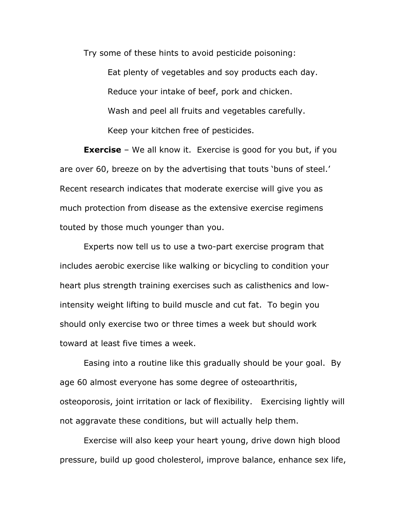Try some of these hints to avoid pesticide poisoning:

Eat plenty of vegetables and soy products each day. Reduce your intake of beef, pork and chicken. Wash and peel all fruits and vegetables carefully. Keep your kitchen free of pesticides.

**Exercise** – We all know it. Exercise is good for you but, if you are over 60, breeze on by the advertising that touts 'buns of steel.' Recent research indicates that moderate exercise will give you as much protection from disease as the extensive exercise regimens touted by those much younger than you.

Experts now tell us to use a two-part exercise program that includes aerobic exercise like walking or bicycling to condition your heart plus strength training exercises such as calisthenics and lowintensity weight lifting to build muscle and cut fat. To begin you should only exercise two or three times a week but should work toward at least five times a week.

Easing into a routine like this gradually should be your goal. By age 60 almost everyone has some degree of osteoarthritis, osteoporosis, joint irritation or lack of flexibility. Exercising lightly will not aggravate these conditions, but will actually help them.

Exercise will also keep your heart young, drive down high blood pressure, build up good cholesterol, improve balance, enhance sex life,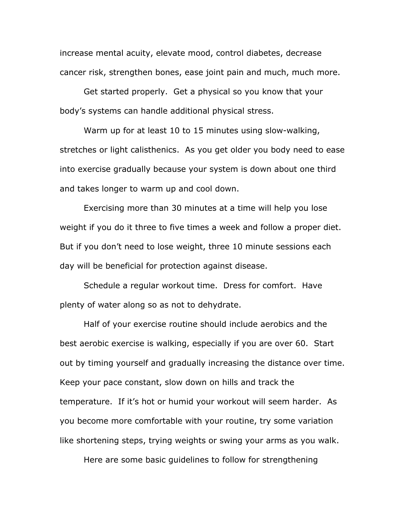increase mental acuity, elevate mood, control diabetes, decrease cancer risk, strengthen bones, ease joint pain and much, much more.

Get started properly. Get a physical so you know that your body's systems can handle additional physical stress.

Warm up for at least 10 to 15 minutes using slow-walking, stretches or light calisthenics. As you get older you body need to ease into exercise gradually because your system is down about one third and takes longer to warm up and cool down.

Exercising more than 30 minutes at a time will help you lose weight if you do it three to five times a week and follow a proper diet. But if you don't need to lose weight, three 10 minute sessions each day will be beneficial for protection against disease.

Schedule a regular workout time. Dress for comfort. Have plenty of water along so as not to dehydrate.

Half of your exercise routine should include aerobics and the best aerobic exercise is walking, especially if you are over 60. Start out by timing yourself and gradually increasing the distance over time. Keep your pace constant, slow down on hills and track the temperature. If it's hot or humid your workout will seem harder. As you become more comfortable with your routine, try some variation like shortening steps, trying weights or swing your arms as you walk.

Here are some basic guidelines to follow for strengthening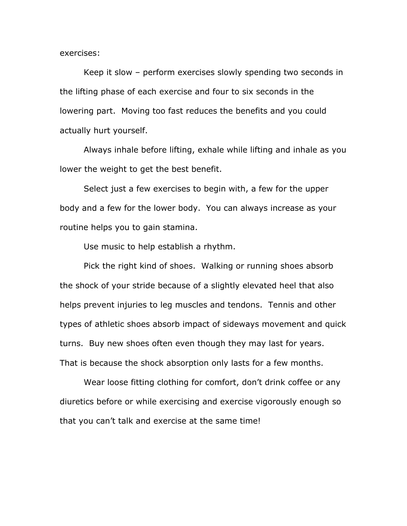exercises:

Keep it slow – perform exercises slowly spending two seconds in the lifting phase of each exercise and four to six seconds in the lowering part. Moving too fast reduces the benefits and you could actually hurt yourself.

Always inhale before lifting, exhale while lifting and inhale as you lower the weight to get the best benefit.

Select just a few exercises to begin with, a few for the upper body and a few for the lower body. You can always increase as your routine helps you to gain stamina.

Use music to help establish a rhythm.

Pick the right kind of shoes. Walking or running shoes absorb the shock of your stride because of a slightly elevated heel that also helps prevent injuries to leg muscles and tendons. Tennis and other types of athletic shoes absorb impact of sideways movement and quick turns. Buy new shoes often even though they may last for years. That is because the shock absorption only lasts for a few months.

Wear loose fitting clothing for comfort, don't drink coffee or any diuretics before or while exercising and exercise vigorously enough so that you can't talk and exercise at the same time!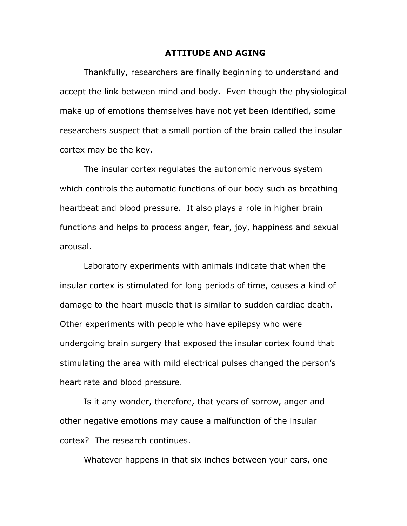#### **ATTITUDE AND AGING**

Thankfully, researchers are finally beginning to understand and accept the link between mind and body. Even though the physiological make up of emotions themselves have not yet been identified, some researchers suspect that a small portion of the brain called the insular cortex may be the key.

The insular cortex regulates the autonomic nervous system which controls the automatic functions of our body such as breathing heartbeat and blood pressure. It also plays a role in higher brain functions and helps to process anger, fear, joy, happiness and sexual arousal.

Laboratory experiments with animals indicate that when the insular cortex is stimulated for long periods of time, causes a kind of damage to the heart muscle that is similar to sudden cardiac death. Other experiments with people who have epilepsy who were undergoing brain surgery that exposed the insular cortex found that stimulating the area with mild electrical pulses changed the person's heart rate and blood pressure.

Is it any wonder, therefore, that years of sorrow, anger and other negative emotions may cause a malfunction of the insular cortex? The research continues.

Whatever happens in that six inches between your ears, one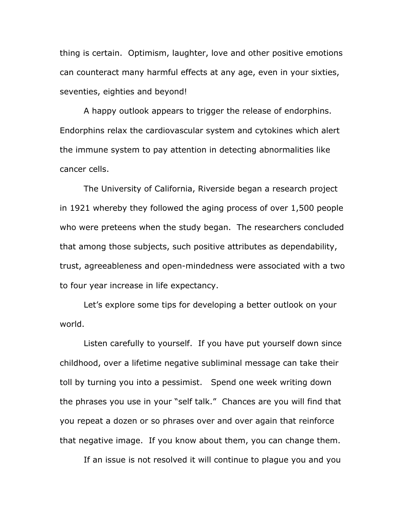thing is certain. Optimism, laughter, love and other positive emotions can counteract many harmful effects at any age, even in your sixties, seventies, eighties and beyond!

A happy outlook appears to trigger the release of endorphins. Endorphins relax the cardiovascular system and cytokines which alert the immune system to pay attention in detecting abnormalities like cancer cells.

The University of California, Riverside began a research project in 1921 whereby they followed the aging process of over 1,500 people who were preteens when the study began. The researchers concluded that among those subjects, such positive attributes as dependability, trust, agreeableness and open-mindedness were associated with a two to four year increase in life expectancy.

Let's explore some tips for developing a better outlook on your world.

Listen carefully to yourself. If you have put yourself down since childhood, over a lifetime negative subliminal message can take their toll by turning you into a pessimist. Spend one week writing down the phrases you use in your "self talk." Chances are you will find that you repeat a dozen or so phrases over and over again that reinforce that negative image. If you know about them, you can change them.

If an issue is not resolved it will continue to plague you and you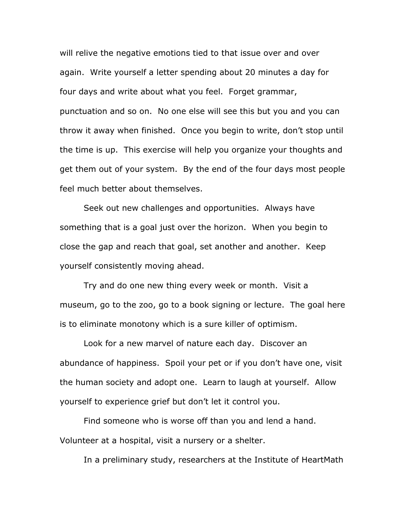will relive the negative emotions tied to that issue over and over again. Write yourself a letter spending about 20 minutes a day for four days and write about what you feel. Forget grammar, punctuation and so on. No one else will see this but you and you can throw it away when finished. Once you begin to write, don't stop until the time is up. This exercise will help you organize your thoughts and get them out of your system. By the end of the four days most people feel much better about themselves.

Seek out new challenges and opportunities. Always have something that is a goal just over the horizon. When you begin to close the gap and reach that goal, set another and another. Keep yourself consistently moving ahead.

Try and do one new thing every week or month. Visit a museum, go to the zoo, go to a book signing or lecture. The goal here is to eliminate monotony which is a sure killer of optimism.

Look for a new marvel of nature each day. Discover an abundance of happiness. Spoil your pet or if you don't have one, visit the human society and adopt one. Learn to laugh at yourself. Allow yourself to experience grief but don't let it control you.

Find someone who is worse off than you and lend a hand. Volunteer at a hospital, visit a nursery or a shelter.

In a preliminary study, researchers at the Institute of HeartMath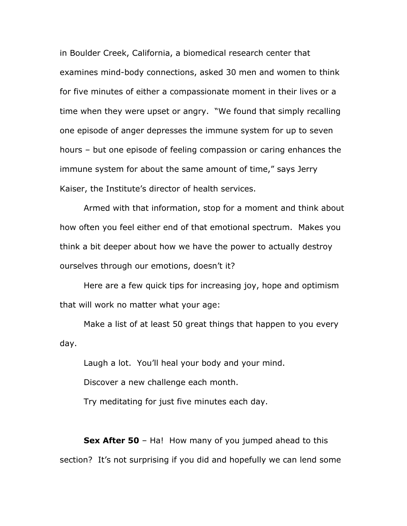in Boulder Creek, California, a biomedical research center that examines mind-body connections, asked 30 men and women to think for five minutes of either a compassionate moment in their lives or a time when they were upset or angry. "We found that simply recalling one episode of anger depresses the immune system for up to seven hours – but one episode of feeling compassion or caring enhances the immune system for about the same amount of time," says Jerry Kaiser, the Institute's director of health services.

Armed with that information, stop for a moment and think about how often you feel either end of that emotional spectrum. Makes you think a bit deeper about how we have the power to actually destroy ourselves through our emotions, doesn't it?

Here are a few quick tips for increasing joy, hope and optimism that will work no matter what your age:

Make a list of at least 50 great things that happen to you every day.

Laugh a lot. You'll heal your body and your mind.

Discover a new challenge each month.

Try meditating for just five minutes each day.

**Sex After 50** – Ha! How many of you jumped ahead to this section? It's not surprising if you did and hopefully we can lend some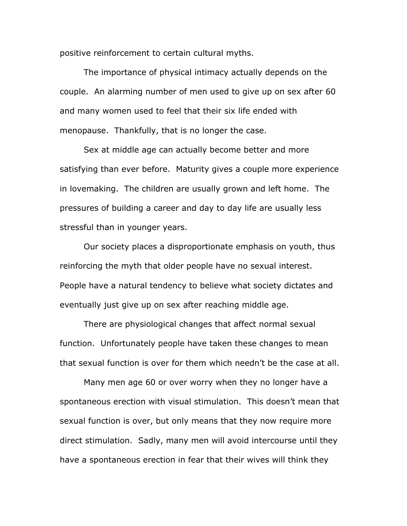positive reinforcement to certain cultural myths.

The importance of physical intimacy actually depends on the couple. An alarming number of men used to give up on sex after 60 and many women used to feel that their six life ended with menopause. Thankfully, that is no longer the case.

Sex at middle age can actually become better and more satisfying than ever before. Maturity gives a couple more experience in lovemaking. The children are usually grown and left home. The pressures of building a career and day to day life are usually less stressful than in younger years.

Our society places a disproportionate emphasis on youth, thus reinforcing the myth that older people have no sexual interest. People have a natural tendency to believe what society dictates and eventually just give up on sex after reaching middle age.

There are physiological changes that affect normal sexual function. Unfortunately people have taken these changes to mean that sexual function is over for them which needn't be the case at all.

Many men age 60 or over worry when they no longer have a spontaneous erection with visual stimulation. This doesn't mean that sexual function is over, but only means that they now require more direct stimulation. Sadly, many men will avoid intercourse until they have a spontaneous erection in fear that their wives will think they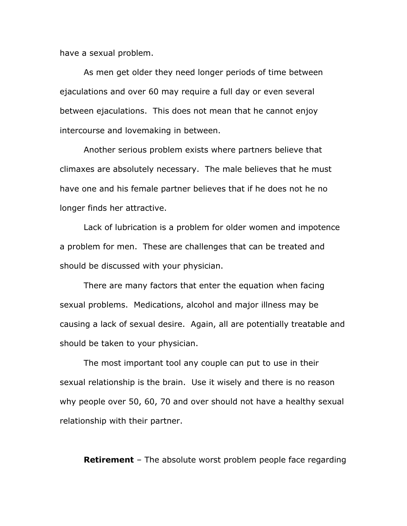have a sexual problem.

As men get older they need longer periods of time between ejaculations and over 60 may require a full day or even several between ejaculations. This does not mean that he cannot enjoy intercourse and lovemaking in between.

Another serious problem exists where partners believe that climaxes are absolutely necessary. The male believes that he must have one and his female partner believes that if he does not he no longer finds her attractive.

Lack of lubrication is a problem for older women and impotence a problem for men. These are challenges that can be treated and should be discussed with your physician.

There are many factors that enter the equation when facing sexual problems. Medications, alcohol and major illness may be causing a lack of sexual desire. Again, all are potentially treatable and should be taken to your physician.

The most important tool any couple can put to use in their sexual relationship is the brain. Use it wisely and there is no reason why people over 50, 60, 70 and over should not have a healthy sexual relationship with their partner.

**Retirement** – The absolute worst problem people face regarding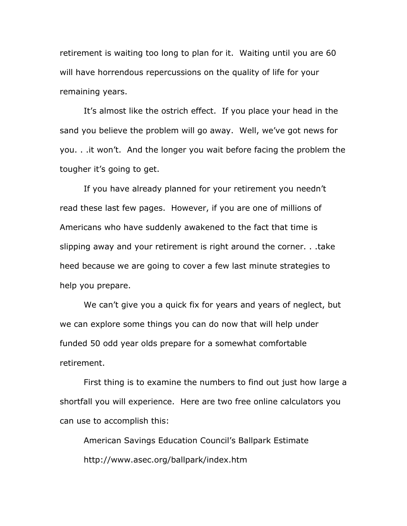retirement is waiting too long to plan for it. Waiting until you are 60 will have horrendous repercussions on the quality of life for your remaining years.

It's almost like the ostrich effect. If you place your head in the sand you believe the problem will go away. Well, we've got news for you. . .it won't. And the longer you wait before facing the problem the tougher it's going to get.

If you have already planned for your retirement you needn't read these last few pages. However, if you are one of millions of Americans who have suddenly awakened to the fact that time is slipping away and your retirement is right around the corner. . .take heed because we are going to cover a few last minute strategies to help you prepare.

We can't give you a quick fix for years and years of neglect, but we can explore some things you can do now that will help under funded 50 odd year olds prepare for a somewhat comfortable retirement.

First thing is to examine the numbers to find out just how large a shortfall you will experience. Here are two free online calculators you can use to accomplish this:

American Savings Education Council's Ballpark Estimate http://www.asec.org/ballpark/index.htm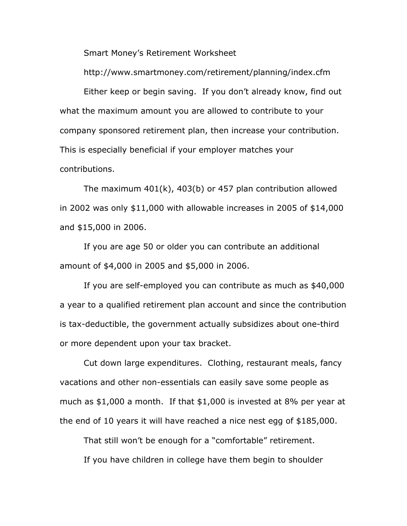Smart Money's Retirement Worksheet

http://www.smartmoney.com/retirement/planning/index.cfm

Either keep or begin saving. If you don't already know, find out what the maximum amount you are allowed to contribute to your company sponsored retirement plan, then increase your contribution. This is especially beneficial if your employer matches your contributions.

The maximum 401(k), 403(b) or 457 plan contribution allowed in 2002 was only \$11,000 with allowable increases in 2005 of \$14,000 and \$15,000 in 2006.

If you are age 50 or older you can contribute an additional amount of \$4,000 in 2005 and \$5,000 in 2006.

If you are self-employed you can contribute as much as \$40,000 a year to a qualified retirement plan account and since the contribution is tax-deductible, the government actually subsidizes about one-third or more dependent upon your tax bracket.

Cut down large expenditures. Clothing, restaurant meals, fancy vacations and other non-essentials can easily save some people as much as \$1,000 a month. If that \$1,000 is invested at 8% per year at the end of 10 years it will have reached a nice nest egg of \$185,000.

That still won't be enough for a "comfortable" retirement.

If you have children in college have them begin to shoulder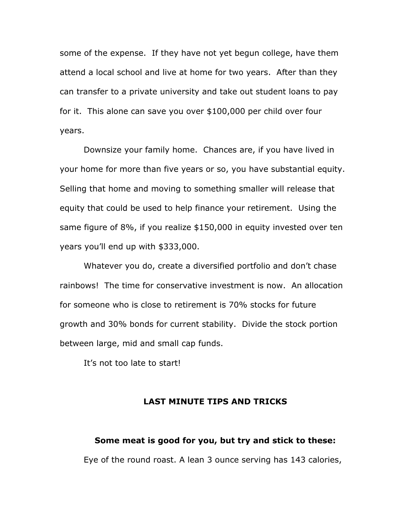some of the expense. If they have not yet begun college, have them attend a local school and live at home for two years. After than they can transfer to a private university and take out student loans to pay for it. This alone can save you over \$100,000 per child over four years.

Downsize your family home. Chances are, if you have lived in your home for more than five years or so, you have substantial equity. Selling that home and moving to something smaller will release that equity that could be used to help finance your retirement. Using the same figure of 8%, if you realize \$150,000 in equity invested over ten years you'll end up with \$333,000.

Whatever you do, create a diversified portfolio and don't chase rainbows! The time for conservative investment is now. An allocation for someone who is close to retirement is 70% stocks for future growth and 30% bonds for current stability. Divide the stock portion between large, mid and small cap funds.

It's not too late to start!

## **LAST MINUTE TIPS AND TRICKS**

# **Some meat is good for you, but try and stick to these:**  Eye of the round roast. A lean 3 ounce serving has 143 calories,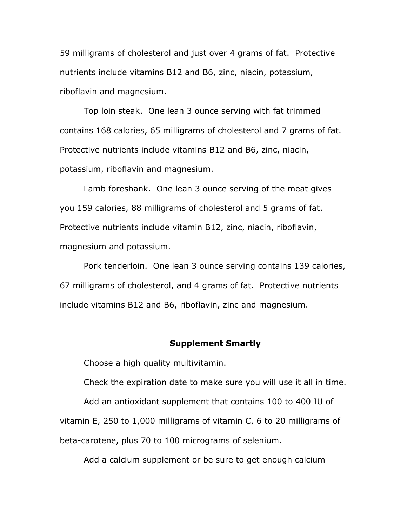59 milligrams of cholesterol and just over 4 grams of fat. Protective nutrients include vitamins B12 and B6, zinc, niacin, potassium, riboflavin and magnesium.

Top loin steak. One lean 3 ounce serving with fat trimmed contains 168 calories, 65 milligrams of cholesterol and 7 grams of fat. Protective nutrients include vitamins B12 and B6, zinc, niacin, potassium, riboflavin and magnesium.

Lamb foreshank. One lean 3 ounce serving of the meat gives you 159 calories, 88 milligrams of cholesterol and 5 grams of fat. Protective nutrients include vitamin B12, zinc, niacin, riboflavin, magnesium and potassium.

Pork tenderloin. One lean 3 ounce serving contains 139 calories, 67 milligrams of cholesterol, and 4 grams of fat. Protective nutrients include vitamins B12 and B6, riboflavin, zinc and magnesium.

#### **Supplement Smartly**

Choose a high quality multivitamin.

Check the expiration date to make sure you will use it all in time.

Add an antioxidant supplement that contains 100 to 400 IU of vitamin E, 250 to 1,000 milligrams of vitamin C, 6 to 20 milligrams of beta-carotene, plus 70 to 100 micrograms of selenium.

Add a calcium supplement or be sure to get enough calcium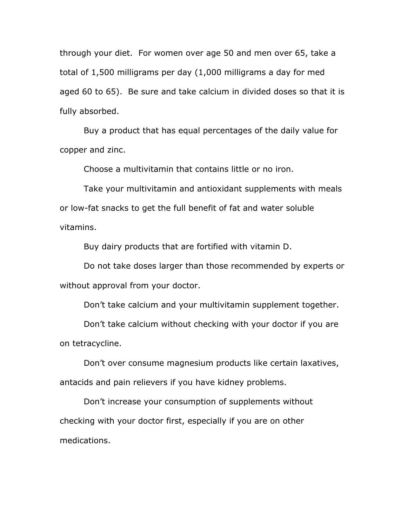through your diet. For women over age 50 and men over 65, take a total of 1,500 milligrams per day (1,000 milligrams a day for med aged 60 to 65). Be sure and take calcium in divided doses so that it is fully absorbed.

Buy a product that has equal percentages of the daily value for copper and zinc.

Choose a multivitamin that contains little or no iron.

Take your multivitamin and antioxidant supplements with meals or low-fat snacks to get the full benefit of fat and water soluble vitamins.

Buy dairy products that are fortified with vitamin D.

Do not take doses larger than those recommended by experts or without approval from your doctor.

Don't take calcium and your multivitamin supplement together.

Don't take calcium without checking with your doctor if you are on tetracycline.

Don't over consume magnesium products like certain laxatives, antacids and pain relievers if you have kidney problems.

Don't increase your consumption of supplements without checking with your doctor first, especially if you are on other medications.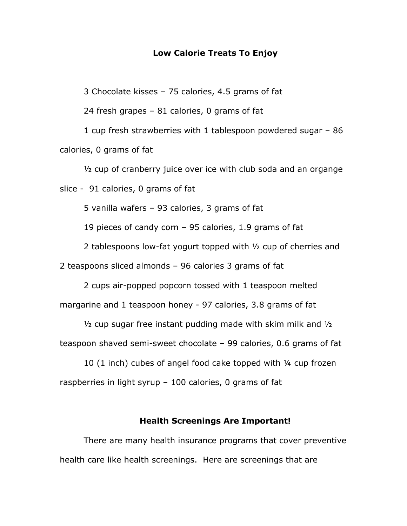## **Low Calorie Treats To Enjoy**

3 Chocolate kisses – 75 calories, 4.5 grams of fat

24 fresh grapes – 81 calories, 0 grams of fat

1 cup fresh strawberries with 1 tablespoon powdered sugar – 86 calories, 0 grams of fat

 $\frac{1}{2}$  cup of cranberry juice over ice with club soda and an organge slice - 91 calories, 0 grams of fat

5 vanilla wafers – 93 calories, 3 grams of fat

19 pieces of candy corn – 95 calories, 1.9 grams of fat

2 tablespoons low-fat yogurt topped with ½ cup of cherries and

2 teaspoons sliced almonds – 96 calories 3 grams of fat

2 cups air-popped popcorn tossed with 1 teaspoon melted margarine and 1 teaspoon honey - 97 calories, 3.8 grams of fat

 $\frac{1}{2}$  cup sugar free instant pudding made with skim milk and  $\frac{1}{2}$ 

teaspoon shaved semi-sweet chocolate – 99 calories, 0.6 grams of fat

10 (1 inch) cubes of angel food cake topped with ¼ cup frozen raspberries in light syrup  $-100$  calories, 0 grams of fat

## **Health Screenings Are Important!**

There are many health insurance programs that cover preventive health care like health screenings. Here are screenings that are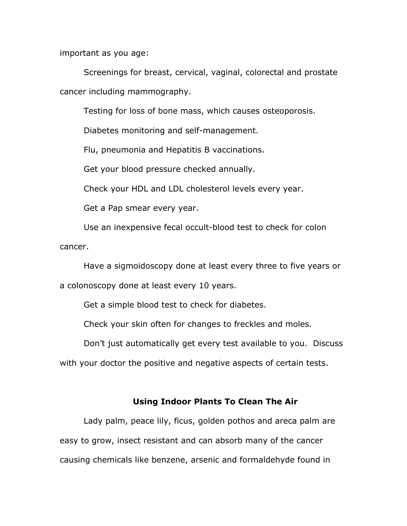important as you age:

Screenings for breast, cervical, vaginal, colorectal and prostate cancer including mammography.

Testing for loss of bone mass, which causes osteoporosis.

Diabetes monitoring and self-management.

Flu, pneumonia and Hepatitis B vaccinations.

Get your blood pressure checked annually.

Check your HDL and LDL cholesterol levels every year.

Get a Pap smear every year.

Use an inexpensive fecal occult-blood test to check for colon cancer.

Have a sigmoidoscopy done at least every three to five years or a colonoscopy done at least every 10 years.

Get a simple blood test to check for diabetes.

Check your skin often for changes to freckles and moles.

Don't just automatically get every test available to you. Discuss with your doctor the positive and negative aspects of certain tests.

## **Using Indoor Plants To Clean The Air**

Lady palm, peace lily, ficus, golden pothos and areca palm are easy to grow, insect resistant and can absorb many of the cancer causing chemicals like benzene, arsenic and formaldehyde found in